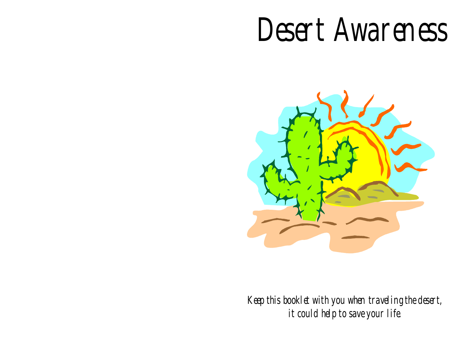# Desert Awareness



Keep this booklet with you when traveling the desert, it could help to save your life.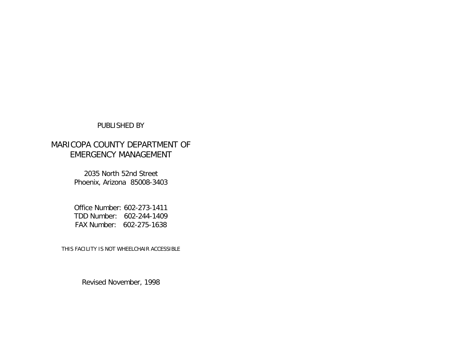## PUBLISHED BY

# MARICOPA COUNTY DEPARTMENT OF EMERGENCY MANAGEMENT

2035 North 52nd Street Phoenix, Arizona 85008-3403

Office Number: 602-273-1411 TDD Number: 602-244-1409 FAX Number: 602-275-1638

THIS FACILITY IS NOT WHEELCHAIR ACCESSIBLE

Revised November, 1998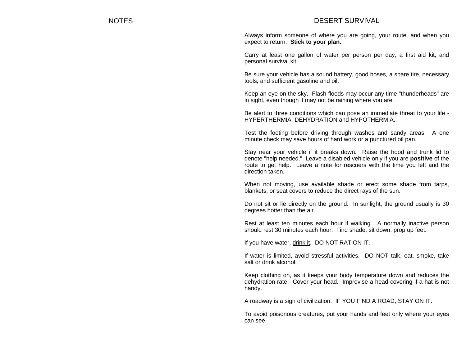## NOTES DESERT SURVIVAL

Always inform someone of where you are going, your route, and when you expect to return. **Stick to your plan.**

Carry at least one gallon of water per person per day, a first aid kit, and personal survival kit.

Be sure your vehicle has a sound battery, good hoses, a spare tire, necessary tools, and sufficient gasoline and oil.

Keep an eye on the sky. Flash floods may occur any time "thunderheads" are in sight, even though it may not be raining where you are.

Be alert to three conditions which can pose an immediate threat to your life - HYPERTHERMIA, DEHYDRATION and HYPOTHERMIA.

Test the footing before driving through washes and sandy areas. A one minute check may save hours of hard work or a punctured oil pan.

Stay near your vehicle if it breaks down. Raise the hood and trunk lid to denote "help needed." Leave a disabled vehicle only if you are **positive** of the route to get help. Leave a note for rescuers with the time you left and the direction taken.

When not moving, use available shade or erect some shade from tarps, blankets, or seat covers to reduce the direct rays of the sun.

Do not sit or lie directly on the ground. In sunlight, the ground usually is 30 degrees hotter than the air.

Rest at least ten minutes each hour if walking. A normally inactive person should rest 30 minutes each hour. Find shade, sit down, prop up feet.

If you have water, drink it. DO NOT RATION IT.

If water is limited, avoid stressful activities. DO NOT talk, eat, smoke, take salt or drink alcohol.

Keep clothing on, as it keeps your body temperature down and reduces the dehydration rate. Cover your head. Improvise a head covering if a hat is not handy.

A roadway is a sign of civilization. IF YOU FIND A ROAD, STAY ON IT.

To avoid poisonous creatures, put your hands and feet only where your eyes can see.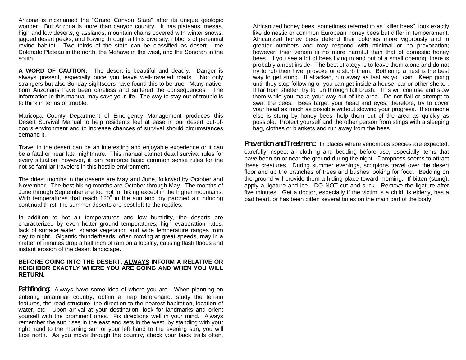Arizona is nicknamed the "Grand Canyon State" after its unique geologic wonder. But Arizona is more than canyon country. It has plateaus, mesas, high and low deserts, grasslands, mountain chains covered with winter snows, jagged desert peaks, and flowing through all this diversity, ribbons of perennial ravine habitat. Two thirds of the state can be classified as desert - the Colorado Plateau in the north, the Mohave in the west, and the Sonoran in the south.

**A WORD OF CAUTION:** The desert is beautiful and deadly. Danger is always present, especially once you leave well-traveled roads. Not only strangers but also Sunday sightseers have found this to be true. Many nativeborn Arizonans have been careless and suffered the consequences. The information in this manual may save your life. The way to stay out of trouble is to think in terms of trouble.

Maricopa County Department of Emergency Management produces this Desert Survival Manual to help residents feel at ease in our desert out-ofdoors environment and to increase chances of survival should circumstances demand it.

Travel in the desert can be an interesting and enjoyable experience or it can be a fatal or near fatal nightmare. This manual cannot detail survival rules for every situation; however, it can reinforce basic common sense rules for the not so familiar travelers in this hostile environment.

The driest months in the deserts are May and June, followed by October and November. The best hiking months are October through May. The months of June through September are too hot for hiking except in the higher mountains. With temperatures that reach 120 $^{\circ}$  in the sun and dry parched air inducing continual thirst, the summer deserts are best left to the reptiles.

In addition to hot air temperatures and low humidity, the deserts are characterized by even hotter ground temperatures, high evaporation rates, lack of surface water, sparse vegetation and wide temperature ranges from day to night. Gigantic thunderheads, often moving at great speeds, may in a matter of minutes drop a half inch of rain on a locality, causing flash floods and instant erosion of the desert landscape.

#### **BEFORE GOING INTO THE DESERT, ALWAYS INFORM A RELATIVE OR NEIGHBOR EXACTLY WHERE YOU ARE GOING AND WHEN YOU WILL RETURN.**

**Pathfinding:** Always have some idea of where you are. When planning on entering unfamiliar country, obtain a map beforehand, study the terrain features, the road structure, the direction to the nearest habitation, location of water, etc. Upon arrival at your destination, look for landmarks and orient yourself with the prominent ones. Fix directions well in your mind. Always remember the sun rises in the east and sets in the west; by standing with your right hand to the morning sun or your left hand to the evening sun, you will face north. As you move through the country, check your back trails often,

Africanized honey bees, sometimes referred to as "killer bees", look exactly like domestic or common European honey bees but differ in temperament. Africanized honey bees defend their colonies more vigorously and in greater numbers and may respond with minimal or no provocation; however, their venom is no more harmful than that of domestic honey bees. If you see a lot of bees flying in and out of a small opening, there is probably a nest inside. The best strategy is to leave them alone and do not try to rob their hive, provoke or disturb them. Bothering a nest is the best way to get stung. If attacked, run away as fast as you can. Keep going until they stop following or you can get inside a house, car or other shelter. If far from shelter, try to run through tall brush. This will confuse and slow them while you make your way out of the area. Do not flail or attempt to swat the bees. Bees target your head and eyes; therefore, try to cover your head as much as possible without slowing your progress. If someone else is stung by honey bees, help them out of the area as quickly as possible. Protect yourself and the other person from stings with a sleeping bag, clothes or blankets and run away from the bees.

**Prevention and Treatment:** In places where venomous species are expected, carefully inspect all clothing and bedding before use, especially items that have been on or near the ground during the night. Dampness seems to attract these creatures. During summer evenings, scorpions travel over the desert floor and up the branches of trees and bushes looking for food. Bedding on the ground will provide them a hiding place toward morning. If bitten (stung), apply a ligature and ice. DO NOT cut and suck. Remove the ligature after five minutes. Get a doctor, especially if the victim is a child, is elderly, has a bad heart, or has been bitten several times on the main part of the body.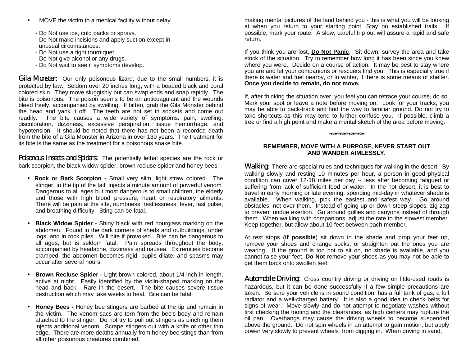- MOVE the victim to a medical facility without delay.
	- Do Not use ice, cold packs or sprays.
	- Do Not make incisions and apply suction except in unusual circumstances.
	- Do Not use a tight tourniquet.
	- Do Not give alcohol or any drugs.
	- Do Not wait to see if symptoms develop.

**Gila Monster:** Our only poisonous lizard; due to the small numbers, it is protected by law. Seldom over 20 inches long, with a beaded black and coral colored skin. They move sluggishly but can swap ends and snap rapidly. The bite is poisonous. The poison seems to be an anticoagulant and the wounds bleed freely, accompanied by swelling. If bitten, grab the Gila Monster behind the head and yank it off. The teeth are not set in sockets and come out readily. The bite causes a wide variety of symptoms: pain, swelling, discoloration, dizziness, excessive perspiration, tissue hemorrhage, and hypotension. It should be noted that there has not been a recorded death from the bite of a Gila Monster in Arizona in over 130 years. The treatment for its bite is the same as the treatment for a poisonous snake bite.

Poisonous Insects and Spiders: The potentially lethal species are the rock or bark scorpion, the black widow spider, brown recluse spider and honey bees:

- **Rock or Bark Scorpion -** Small very slim, light straw colored. The stinger, in the tip of the tail, injects a minute amount of powerful venom. Dangerous to all ages but most dangerous to small children, the elderly and those with high blood pressure, heart or respiratory ailments. There will be pain at the site, numbness, restlessness, fever, fast pulse, and breathing difficulty. Sting can be fatal.
- **Black Widow Spider -** Shiny black with red hourglass marking on the abdomen. Found in the dark corners of sheds and outbuildings, under logs, and in rock piles. Will bite if provoked. Bite can be dangerous to all ages, but is seldom fatal. Pain spreads throughout the body, accompanied by headache, dizziness and nausea. Extremities become cramped, the abdomen becomes rigid, pupils dilate, and spasms may occur after several hours.
- **Brown Recluse Spider -** Light brown colored, about 1/4 inch in length, active at night. Easily identified by the violin-shaped marking on the head and back. Rare in the desert. The bite causes severe tissue destruction which may take weeks to heal. Bite can be fatal.
- **Honey Bees -** Honey bee stingers are barbed at the tip and remain in the victim. The venom sacs are torn from the bee's body and remain attached to the stinger. Do not try to pull out stingers as pinching them injects additional venom. Scrape stingers out with a knife or other thin edge. There are more deaths annually from honey bee stings than from all other poisonous creatures combined.

making mental pictures of the land behind you - this is what you will be looking at when you return to your starting point. Stay on established trails. If possible, mark your route. A slow, careful trip out will assure a rapid and safe return.

If you think you are lost, **Do Not Panic**. Sit down, survey the area and take stock of the situation. Try to remember how long it has been since you knew where you were. Decide on a course of action. It may be best to stay where you are and let your companions or rescuers find you. This is especially true if there is water and fuel nearby, or in winter, if there is some means of shelter. **Once you decide to remain, do not move.**

If, after thinking the situation over, you feel you can retrace your course, do so. Mark your spot or leave a note before moving on. Look for your tracks; you may be able to back-track and find the way to familiar ground. Do not try to take shortcuts as this may tend to further confuse you. If possible, climb a tree or find a high point and make a mental sketch of the area before moving.

#### **weisserstellen**

#### **REMEMBER, MOVE WITH A PURPOSE, NEVER START OUT AND WANDER AIMLESSLY.**

**Walking:** There are special rules and techniques for walking in the desert. By walking slowly and resting 10 minutes per hour, a person in good physical condition can cover 12-18 miles per day -- less after becoming fatigued or suffering from lack of sufficient food or water. In the hot desert, it is best to travel in early morning or late evening, spending mid-day in whatever shade is available. When walking, pick the easiest and safest way. Go around obstacles, not over them. Instead of going up or down steep slopes, zig-zag to prevent undue exertion. Go around gullies and canyons instead of through them. When walking with companions, adjust the rate to the slowest member. Keep together, but allow about 10 feet between each member.

At rest stops (**if possible**) sit down in the shade and prop your feet up, remove your shoes and change socks, or straighten out the ones you are wearing. If the ground is too hot to sit on, no shade is available, and you cannot raise your feet, **Do Not** remove your shoes as you may not be able to get them back onto swollen feet.

**Automobile Driving:** Cross country driving or driving on little-used roads is hazardous, but it can be done successfully if a few simple precautions are taken. Be sure your vehicle is in sound condition, has a full tank of gas, a full radiator and a well-charged battery. It is also a good idea to check belts for signs of wear. Move slowly and do not attempt to negotiate washes without first checking the footing and the clearances, as high centers may rupture the oil pan. Overhangs may cause the driving wheels to become suspended above the ground. Do not spin wheels in an attempt to gain motion, but apply power very slowly to prevent wheels from digging in. When driving in sand,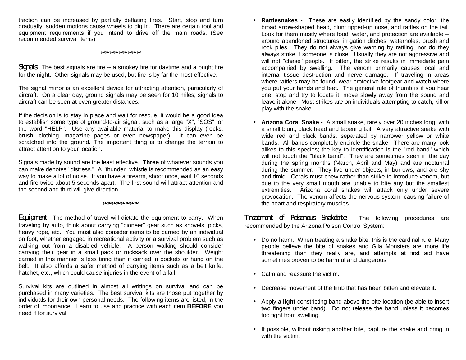traction can be increased by partially deflating tires. Start, stop and turn gradually; sudden motions cause wheels to dig in. There are certain tool and equipment requirements if you intend to drive off the main roads. (See recommended survival items)

#### **®\$\\$\$@\$\\$\$@\$@\$@\$@\$**

Signals: The best signals are fire -- a smokey fire for daytime and a bright fire for the night. Other signals may be used, but fire is by far the most effective.

The signal mirror is an excellent device for attracting attention, particularly of aircraft. On a clear day, ground signals may be seen for 10 miles; signals to aircraft can be seen at even greater distances.

If the decision is to stay in place and wait for rescue, it would be a good idea to establish some type of ground-to-air signal, such as a large "X", "SOS", or the word "HELP". Use any available material to make this display (rocks, brush, clothing, magazine pages or even newspaper). It can even be scratched into the ground. The important thing is to change the terrain to attract attention to your location.

Signals made by sound are the least effective. **Three** of whatever sounds you can make denotes "distress." A "thunder" whistle is recommended as an easy way to make a lot of noise. If you have a firearm, shoot once, wait 10 seconds and fire twice about 5 seconds apart. The first sound will attract attention and the second and third will give direction.

#### **אמשמעמטמטמטמעמ**

**Equipment:** The method of travel will dictate the equipment to carry. When traveling by auto, think about carrying "pioneer" gear such as shovels, picks, heavy rope, etc. You must also consider items to be carried by an individual on foot, whether engaged in recreational activity or a survival problem such as walking out from a disabled vehicle. A person walking should consider carrying their gear in a small pack or rucksack over the shoulder. Weight carried in this manner is less tiring than if carried in pockets or hung on the belt. It also affords a safer method of carrying items such as a belt knife, hatchet, etc., which could cause injuries in the event of a fall.

Survival kits are outlined in almost all writings on survival and can be purchased in many varieties. The best survival kits are those put together by individuals for their own personal needs. The following items are listed, in the order of importance. Learn to use and practice with each item **BEFORE** you need if for survival.

- **Rattlesnakes -** These are easily identified by the sandy color, the broad arrow-shaped head, blunt tipped-up nose, and rattles on the tail. Look for them mostly where food, water, and protection are available - around abandoned structures, irrigation ditches, waterholes, brush and rock piles. They do not always give warning by rattling, nor do they always strike if someone is close. Usually they are not aggressive and will not "chase" people. If bitten, the strike results in immediate pain accompanied by swelling. The venom primarily causes local and internal tissue destruction and nerve damage. If traveling in areas where rattlers may be found, wear protective footgear and watch where you put your hands and feet. The general rule of thumb is if you hear one, stop and try to locate it, move slowly away from the sound and leave it alone. Most strikes are on individuals attempting to catch, kill or play with the snake.
- **Arizona Coral Snake -** A small snake, rarely over 20 inches long, with a small blunt, black head and tapering tail. A very attractive snake with wide red and black bands, separated by narrower yellow or white bands. All bands completely encircle the snake. There are many look alikes to this species; the key to identification is the "red band" which will not touch the "black band". They are sometimes seen in the day during the spring months (March, April and May) and are nocturnal during the summer. They live under objects, in burrows, and are shy and timid. Corals must chew rather than strike to introduce venom, but due to the very small mouth are unable to bite any but the smallest extremities. Arizona coral snakes will attack only under severe provocation. The venom affects the nervous system, causing failure of the heart and respiratory muscles.

Treatment of Poisonous Snakehite: The following procedures are recommended by the Arizona Poison Control System:

- Do no harm. When treating a snake bite, this is the cardinal rule. Many people believe the bite of snakes and Gila Monsters are more life threatening than they really are, and attempts at first aid have sometimes proven to be harmful and dangerous.
- Calm and reassure the victim.
- Decrease movement of the limb that has been bitten and elevate it.
- Apply **a light** constricting band above the bite location (be able to insert two fingers under band). Do not release the band unless it becomes too tight from swelling.
- If possible, without risking another bite, capture the snake and bring in with the victim.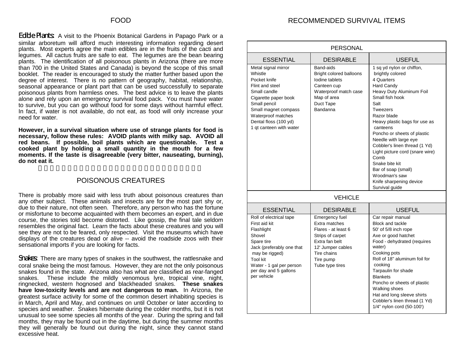RECOMMENDED SURVIVAL ITEMS

Edible Plants: A visit to the Phoenix Botanical Gardens in Papago Park or a similar arboretum will afford much interesting information regarding desert plants. Most experts agree the main edibles are in the fruits of the cacti and legumes. All cactus fruits are safe to eat. The legumes are the bean bearing plants. The identification of all poisonous plants in Arizona (there are more than 700 in the United States and Canada) is beyond the scope of this small booklet. The reader is encouraged to study the matter further based upon the degree of interest. There is no pattern of geography, habitat, relationship, seasonal appearance or plant part that can be used successfully to separate poisonous plants from harmless ones. The best advice is to leave the plants alone and rely upon an emergency survival food pack. You must have water to survive, but you can go without food for some days without harmful effect. In fact, if water is not available, do not eat, as food will only increase your need for water.

**However, in a survival situation where use of strange plants for food is necessary, follow these rules: AVOID plants with milky sap. AVOID all red beans. If possible, boil plants which are questionable. Test a cooked plant by holding a small quantity in the mouth for a few moments. If the taste is disagreeable (very bitter, nauseating, burning), do not eat it.**

## POISONOUS CREATURES

There is probably more said with less truth about poisonous creatures than any other subject. These animals and insects are for the most part shy or, due to their nature, not often seen. Therefore, any person who has the fortune or misfortune to become acquainted with them becomes an expert, and in due course, the stories told become distorted. Like gossip, the final tale seldom resembles the original fact. Learn the facts about these creatures and you will see they are not to be feared, only respected. Visit the museums which have displays of the creatures dead or alive -- avoid the roadside zoos with their sensational imports if you are looking for facts.

**Snakes:** There are many types of snakes in the southwest, the rattlesnake and coral snake being the most famous. However, they are not the only poisonous snakes found in the state. Arizona also has what are classified as rear-fanged snakes. These include the mildly venomous lyre, tropical vine, night, ringnecked, western hognosed and blackheaded snakes. **These snakes have low-toxicity levels and are not dangerous to man.** In Arizona, the greatest surface activity for some of the common desert inhabiting species is in March, April and May, and continues on until October or later according to species and weather. Snakes hibernate during the colder months, but it is not unusual to see some species all months of the year. During the spring and fall months, they may be found out in the daytime, but during the summer months they will generally be found out during the night, since they cannot stand excessive heat.

| <b>PERSONAL</b>                                                                                                                                                                                                             |                                                                                                                                                                  |                                                                                                                                                                                                                                                                                                                                                                                                                                                            |  |  |
|-----------------------------------------------------------------------------------------------------------------------------------------------------------------------------------------------------------------------------|------------------------------------------------------------------------------------------------------------------------------------------------------------------|------------------------------------------------------------------------------------------------------------------------------------------------------------------------------------------------------------------------------------------------------------------------------------------------------------------------------------------------------------------------------------------------------------------------------------------------------------|--|--|
| <b>ESSENTIAL</b>                                                                                                                                                                                                            | <b>DESIRABLE</b>                                                                                                                                                 | <b>USEFUL</b>                                                                                                                                                                                                                                                                                                                                                                                                                                              |  |  |
| Metal signal mirror<br>Whistle<br>Pocket knife<br>Flint and steel<br>Small candle<br>Cigarette paper book<br>Small pencil<br>Small magnet compass<br>Waterproof matches<br>Dental floss (100 yd)<br>1 qt canteen with water | Band-aids<br>Bright colored balloons<br>lodine tablets<br>Canteen cup<br>Waterproof match case<br>Map of area<br>Duct Tape<br>Bandanna                           | 1 sq yd nylon or chiffon,<br>brightly colored<br>4 Quarters<br><b>Hard Candy</b><br>Heavy Duty Aluminum Foil<br>Small fish hook<br>Salt<br>Tweezers<br>Razor blade<br>Heavy plastic bags for use as<br>canteens<br>Poncho or sheets of plastic<br>Needle with large eye<br>Cobbler's linen thread (1 Yd)<br>Light picture cord (snare wire)<br>Comb<br>Snake bite kit<br>Bar of soap (small)<br>Woodman's saw<br>Knife sharpening device<br>Survival guide |  |  |
| <b>VEHICLE</b>                                                                                                                                                                                                              |                                                                                                                                                                  |                                                                                                                                                                                                                                                                                                                                                                                                                                                            |  |  |
| <b>ESSENTIAL</b>                                                                                                                                                                                                            | <b>DESIRABLE</b>                                                                                                                                                 | <b>USEFUL</b>                                                                                                                                                                                                                                                                                                                                                                                                                                              |  |  |
| Roll of electrical tape<br>First aid kit<br>Flashlight<br>Shovel<br>Spare tire<br>Jack (preferably one that<br>may be rigged)<br>Tool kit<br>Water - 1 gal per person<br>per day and 5 gallons<br>per vehicle               | Emergency fuel<br>Extra matches<br>Flares - at least 6<br>Strips of carpet<br>Extra fan belt<br>12' Jumper cables<br>Tire chains<br>Tire pump<br>Tube type tires | Car repair manual<br><b>Block and tackle</b><br>50' of 5/8 inch rope<br>Axe or good hatchet<br>Food - dehydrated (requires<br>water)<br>Cooking pots<br>Roll of 18" aluminum foil for<br>cooking<br>Tarpaulin for shade<br><b>Blankets</b><br>Poncho or sheets of plastic<br>Walking shoes<br>Hat and long sleeve shirts<br>Cobbler's linen thread (1 Yd)<br>1/4" nylon cord (50-100')                                                                     |  |  |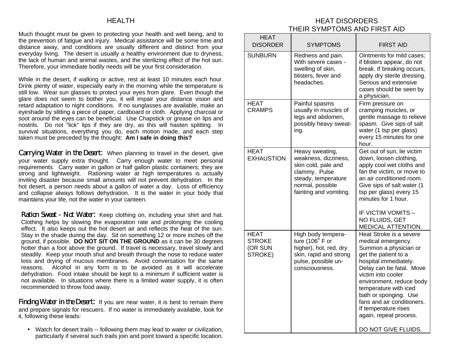## HEALTH

Much thought must be given to protecting your health and well being, and to the prevention of fatigue and injury. Medical assistance will be some time and distance away, and conditions are usually different and distinct from your everyday living. The desert is usually a healthy environment due to dryness, the lack of human and animal wastes, and the sterilizing effect of the hot sun. Therefore, your immediate bodily needs will be your first consideration.

While in the desert, if walking or active, rest at least 10 minutes each hour. Drink plenty of water, especially early in the morning while the temperature is still low. Wear sun glasses to protect your eyes from glare. Even though the glare does not seem to bother you, it will impair your distance vision and retard adaptation to night conditions. If no sunglasses are available, make an eyeshade by slitting a piece of paper, cardboard or cloth. Applying charcoal or soot around the eyes can be beneficial. Use Chapstick or grease on lips and nostrils. Do not "lick" lips if they are dry, as this will hasten splitting. In survival situations, everything you do, each motion made, and each step taken must be preceded by the thought: **Am I safe in doing this?**

**Carrying Water in the Desert:** When planning to travel in the desert, give your water supply extra thought. Carry enough water to meet personal requirements. Carry water in gallon or half gallon plastic containers; they are strong and lightweight. Rationing water at high temperatures is actually inviting disaster because small amounts will not prevent dehydration. In the hot desert, a person needs about a gallon of water a day. Loss of efficiency and collapse always follows dehydration. It is the water in your body that maintains your life, not the water in your canteen.

Ration Sweat - Not Water: Keep clothing on, including your shirt and hat. Clothing helps by slowing the evaporation rate and prolonging the cooling effect. It also keeps out the hot desert air and reflects the heat of the sun. Stay in the shade during the day. Sit on something 12 or more inches off the ground, if possible. **DO NOT SIT ON THE GROUND** as it can be 30 degrees hotter than a foot above the ground. If travel is necessary, travel slowly and steadily. Keep your mouth shut and breath through the nose to reduce water loss and drying of mucous membranes. Avoid conversation for the same reasons. Alcohol in any form is to be avoided as it will accelerate dehydration. Food intake should be kept to a minimum if sufficient water is not available. In situations where there is a limited water supply, it is often recommended to throw food away.

**Finding Water in the Desert:** If you are near water, it is best to remain there and prepare signals for rescuers. If no water is immediately available, look for it, following these leads:

• Watch for desert trails -- following them may lead to water or civilization, particularly if several such trails join and point toward a specific location.

# HEAT DISORDERS THEIR SYMPTOMS AND FIRST AID

| <b>HEAT</b><br><b>DISORDER</b>                     | <b>SYMPTOMS</b>                                                                                                                                      | <b>FIRST AID</b>                                                                                                                                                                                                                                                                                                                                               |
|----------------------------------------------------|------------------------------------------------------------------------------------------------------------------------------------------------------|----------------------------------------------------------------------------------------------------------------------------------------------------------------------------------------------------------------------------------------------------------------------------------------------------------------------------------------------------------------|
| <b>SUNBURN</b>                                     | Redness and pain.<br>With severe cases -<br>swelling of skin,<br>blisters, fever and<br>headaches.                                                   | Ointments for mild cases;<br>if blisters appear, do not<br>break. If breaking occurs,<br>apply dry sterile dressing.<br>Serious and extensive<br>cases should be seen by<br>a physician.                                                                                                                                                                       |
| <b>HEAT</b><br><b>CRAMPS</b>                       | Painful spasms<br>usually in muscles of<br>legs and abdomen,<br>possibly heavy sweat-<br>ing.                                                        | Firm pressure on<br>cramping muscles, or<br>gentle massage to relieve<br>spasm. Give sips of salt<br>water (1 tsp per glass)<br>every 15 minutes for one<br>hour.                                                                                                                                                                                              |
| <b>HEAT</b><br><b>EXHAUSTION</b>                   | Heavy sweating,<br>weakness, dizziness,<br>skin cold, pale and<br>clammy. Pulse<br>steady, temperature<br>normal, possible<br>fainting and vomiting. | Get out of sun, lie victim<br>down, loosen clothing,<br>apply cool wet cloths and<br>fan the victim, or move to<br>an air conditioned room.<br>Give sips of salt water (1<br>tsp per glass) every 15<br>minutes for 1 hour.<br>IF VICTIM VOMITS -<br>NO FLUIDS, GET<br>MEDICAL ATTENTION.                                                                      |
| <b>HEAT</b><br><b>STROKE</b><br>(OR SUN<br>STROKE) | High body tempera-<br>ture $(106^{\circ}$ F or<br>higher), hot, red, dry<br>skin, rapid and strong<br>pulse, possible un-<br>consciousness.          | Heat Stroke is a severe<br>medical emergency.<br>Summon a physician or<br>get the patient to a<br>hospital immediately.<br>Delay can be fatal. Move<br>victim into cooler<br>environment, reduce body<br>temperature with iced<br>bath or sponging. Use<br>fans and air conditioners.<br>If temperature rises<br>again, repeat process.<br>DO NOT GIVE FLUIDS. |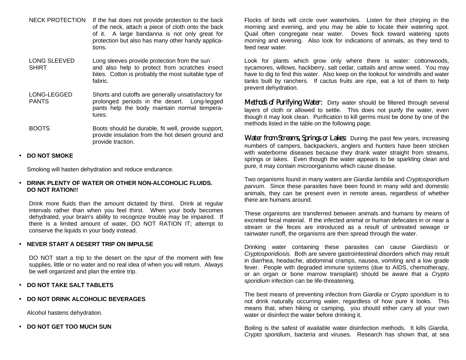- NECK PROTECTION If the hat does not provide protection to the back of the neck, attach a piece of cloth onto the back of it. A large bandanna is not only great for protection but also has many other handy applications.
- LONG SLEEVED Long sleeves provide protection from the sun SHIRT and also help to protect from scratches insect bites. Cotton is probably the most suitable type of fabric.

LONG-LEGGED Shorts and cutoffs are generally unsatisfactory for PANTS prolonged periods in the desert. Long-legged pants help the body maintain normal temperatures.

BOOTS Boots should be durable, fit well, provide support, provide insulation from the hot desert ground and provide traction.

## • **DO NOT SMOKE**

Smoking will hasten dehydration and reduce endurance.

#### • **DRINK PLENTY OF WATER OR OTHER NON-ALCOHOLIC FLUIDS. DO NOT RATION!!**

Drink more fluids than the amount dictated by thirst. Drink at regular intervals rather than when you feel thirst. When your body becomes dehydrated, your brain's ability to recognize trouble may be impaired. If there is a limited amount of water, DO NOT RATION IT; attempt to conserve the liquids in your body instead.

#### • **NEVER START A DESERT TRIP ON IMPULSE**

DO NOT start a trip to the desert on the spur of the moment with few supplies, little or no water and no real idea of when you will return. Always be well organized and plan the entire trip.

#### • **DO NOT TAKE SALT TABLETS**

• **DO NOT DRINK ALCOHOLIC BEVERAGES**

Alcohol hastens dehydration.

• **DO NOT GET TOO MUCH SUN**

Flocks of birds will circle over waterholes. Listen for their chirping in the morning and evening, and you may be able to locate their watering spot. Quail often congregate near water. Doves flock toward watering spots morning and evening. Also look for indications of animals, as they tend to feed near water.

Look for plants which grow only where there is water: cottonwoods, sycamores, willows, hackberry, salt cedar, cattails and arrow weed. You may have to dig to find this water. Also keep on the lookout for windmills and water tanks built by ranchers. If cactus fruits are ripe, eat a lot of them to help prevent dehydration.

Methods of Purifying Water: Dirty water should be filtered through several layers of cloth or allowed to settle. This does not purify the water, even though it may look clean. Purification to kill germs must be done by one of the methods listed in the table on the following page.

Water from Streams, Springs or Lakes: During the past few years, increasing numbers of campers, backpackers, anglers and hunters have been stricken with waterborne diseases because they drank water straight from streams, springs or lakes. Even though the water appears to be sparkling clean and pure, it may contain microorganisms which cause disease.

Two organisms found in many waters are *Giardia lamblia* and *Cryptosporidium parvum*. Since these parasites have been found in many wild and domestic animals, they can be present even in remote areas, regardless of whether there are humans around.

These organisms are transferred between animals and humans by means of excreted fecal material. If the infected animal or human defecates in or near a stream or the feces are introduced as a result of untreated sewage or rainwater runoff, the organisms are then spread through the water.

Drinking water containing these parasites can cause *Giardiasis* or *Cryptosporidiosis.* Both are severe gastrointestinal disorders which may result in diarrhea, headache, abdominal cramps, nausea, vomiting and a low grade fever. People with degraded immune systems (due to AIDS, chemotherapy, or an organ or bone marrow transplant) should be aware that a *Crypto sporidium* infection can be life-threatening.

The best means of preventing infection from *Giardia* or *Crypto sporidium* is to not drink naturally occurring water, regardless of how pure it looks. This means that, when hiking or camping, you should either carry all your own water or disinfect the water before drinking it.

Boiling is the safest of available water disinfection methods. It kills *Giardia, Crypto sporidium*, bacteria and viruses. Research has shown that, at sea